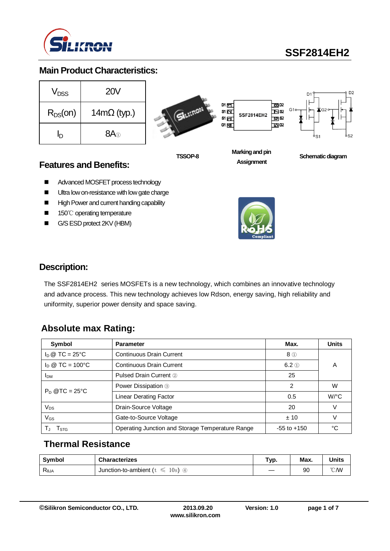

## **SSF2814EH2**

#### **Main Product Characteristics:**

| V <sub>nss</sub> | <b>20V</b>         |
|------------------|--------------------|
| $R_{DS}(on)$     | $14m\Omega$ (typ.) |
| ln               | $8A$ <sup>①</sup>  |



**TSSOP-8**



**SSF2814EH2** 

 $\overline{100}$  D<sub>2</sub>

 $\mathbf{E}^{\text{ss}}$ 

 $\overline{p}$  s2

<u>ත</u>ය



D<sub>2</sub>

**Assignment**

**Schematic diagram** 

#### **Features and Benefits:**

- Advanced MOSFET process technology
- Ultra low on-resistance with low gate charge
- High Power and current handing capability
- 150℃ operating temperature
- G/S ESD protect 2KV (HBM)



#### **Description:**

The SSF2814EH2 series MOSFETs is a new technology, which combines an innovative technology and advance process. This new technology achieves low Rdson, energy saving, high reliability and uniformity, superior power density and space saving.

## **Absolute max Rating:**

| Symbol                                                  | <b>Parameter</b>                                 | Max.            | <b>Units</b>         |
|---------------------------------------------------------|--------------------------------------------------|-----------------|----------------------|
| $I_D @ TC = 25°C$                                       | Continuous Drain Current                         | $8$ ①           |                      |
| $I_D @ TC = 100°C$<br><b>Continuous Drain Current</b>   |                                                  | $6.2$ ①         | Α                    |
| <b>Pulsed Drain Current 2</b><br><b>I</b> <sub>DM</sub> |                                                  | 25              |                      |
| $P_D @TC = 25°C$                                        | Power Dissipation <sup>3</sup>                   | 2               | W                    |
|                                                         | Linear Derating Factor                           | 0.5             | $W$ <sup>o</sup> $C$ |
| $V_{DS}$                                                | Drain-Source Voltage                             | 20              | V                    |
| $V_{GS}$                                                | Gate-to-Source Voltage                           | ±10             | V                    |
| I STG                                                   | Operating Junction and Storage Temperature Range | $-55$ to $+150$ | °C                   |

#### **Thermal Resistance**

| Symbol                            | <b>Characterizes</b>                  | Typ. | Max. | Units        |
|-----------------------------------|---------------------------------------|------|------|--------------|
| $\mathsf{R}_{\theta \mathsf{JA}}$ | Junction-to-ambient ( $t \leq$<br>10s |      | 90   | $\degree$ CM |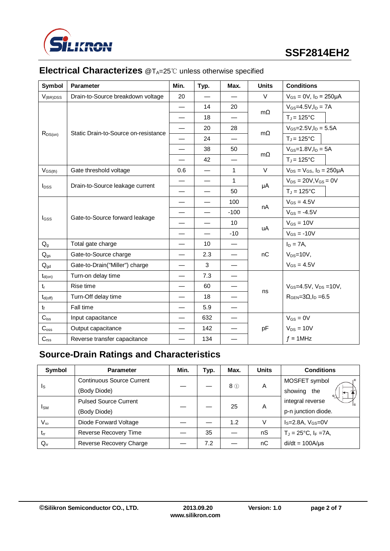

| Symbol           | <b>Parameter</b>                     | Min.                     | Typ.                     | Max.                     | <b>Units</b>    | <b>Conditions</b>                     |  |
|------------------|--------------------------------------|--------------------------|--------------------------|--------------------------|-----------------|---------------------------------------|--|
| $V_{(BR)DSS}$    | Drain-to-Source breakdown voltage    | 20                       |                          |                          | $\vee$          | $V_{GS} = 0V$ , $I_D = 250 \mu A$     |  |
|                  |                                      | $\overline{\phantom{0}}$ | 14                       | 20                       |                 | $V_{GS} = 4.5V, I_D = 7A$             |  |
|                  |                                      | $\overline{\phantom{0}}$ | 18                       |                          | $m\Omega$       | $T_J = 125$ °C                        |  |
|                  |                                      | $\overline{\phantom{0}}$ | 20                       | 28                       |                 | $V_{GS} = 2.5 V, I_D = 5.5 A$         |  |
| $R_{DS(on)}$     | Static Drain-to-Source on-resistance |                          | 24                       |                          | $m\Omega$       | $T_J = 125$ °C                        |  |
|                  |                                      |                          | 38                       | 50                       |                 | $V_{GS} = 1.8 V, I_D = 5A$            |  |
|                  |                                      |                          | 42                       |                          | $m\Omega$       | $T_J = 125$ °C                        |  |
| $V_{GS(th)}$     | Gate threshold voltage               | 0.6                      |                          | $\mathbf{1}$             | $\vee$          | $V_{DS} = V_{GS}$ , $I_D = 250 \mu A$ |  |
|                  |                                      |                          | $\overline{\phantom{0}}$ | $\mathbf{1}$             |                 | $V_{DS} = 20V, V_{GS} = 0V$           |  |
| $I_{DSS}$        | Drain-to-Source leakage current      |                          | $\overline{\phantom{0}}$ | 50                       | μA              | $T_J = 125$ °C                        |  |
|                  |                                      | $\overline{\phantom{0}}$ | 100                      |                          | $V_{GS} = 4.5V$ |                                       |  |
|                  | Gate-to-Source forward leakage       |                          | $\overline{\phantom{0}}$ | $-100$                   | nA              | $V_{GS} = -4.5V$                      |  |
| $I_{GSS}$        |                                      |                          | $\overline{\phantom{0}}$ | 10                       | uA              | $V_{GS} = 10V$                        |  |
|                  |                                      |                          | $\overline{\phantom{0}}$ | $-10$                    |                 | $V_{GS} = -10V$                       |  |
| $Q_q$            | Total gate charge                    |                          | 10                       | $\overline{\phantom{0}}$ |                 | $I_D = 7A$ ,                          |  |
| $Q_{gs}$         | Gate-to-Source charge                | $\overline{\phantom{0}}$ | 2.3                      | $\overline{\phantom{0}}$ | nC              | $V_{DS}=10V$ ,                        |  |
| $Q_{gd}$         | Gate-to-Drain("Miller") charge       |                          | 3                        | $\overline{\phantom{0}}$ |                 | $V_{GS} = 4.5V$                       |  |
| $t_{d(on)}$      | Turn-on delay time                   | $\overline{\phantom{0}}$ | 7.3                      |                          |                 |                                       |  |
| $t_{r}$          | Rise time                            |                          | 60                       | —                        |                 | $V_{GS} = 4.5V$ , $V_{DS} = 10V$ ,    |  |
| $t_{d(off)}$     | Turn-Off delay time                  |                          | 18                       |                          | ns              | $RGEN=3\Omega, ID=6.5$                |  |
| $t_{\rm f}$      | Fall time                            |                          | 5.9                      |                          |                 |                                       |  |
| $C_{iss}$        | Input capacitance                    |                          | 632                      |                          |                 | $V_{GS} = 0V$                         |  |
| C <sub>oss</sub> | Output capacitance                   |                          | 142                      |                          | pF              | $V_{DS} = 10V$                        |  |
| C <sub>rss</sub> | Reverse transfer capacitance         |                          | 134                      |                          |                 | $f = 1$ MHz                           |  |

## **Electrical Characterizes** @T<sub>A</sub>=25℃ unless otherwise specified

## **Source-Drain Ratings and Characteristics**

| Symbol      | <b>Parameter</b>                 | Min. | Typ. | Max. | <b>Units</b> | <b>Conditions</b>              |
|-------------|----------------------------------|------|------|------|--------------|--------------------------------|
|             | <b>Continuous Source Current</b> |      |      | 8 ①  | Α            | MOSFET symbol                  |
| Is          | (Body Diode)                     |      |      |      |              | showing the                    |
| <b>I</b> sm | <b>Pulsed Source Current</b>     |      |      | 25   | A            | integral reverse               |
|             | (Body Diode)                     |      |      |      |              | p-n junction diode.            |
| $V_{SD}$    | Diode Forward Voltage            |      |      | 1.2  | V            | $IS=2.8A, VGS=0V$              |
| $t_{rr}$    | Reverse Recovery Time            |      | 35   |      | nS           | $T_J = 25^{\circ}C, I_F = 7A,$ |
| $Q_{rr}$    | Reverse Recovery Charge          |      | 7.2  |      | пC           | $di/dt = 100A/\mu s$           |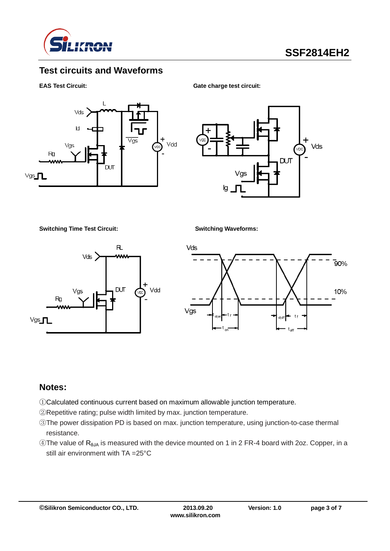

### **Test circuits and Waveforms**

#### **EAS Test Circuit:** Gate charge test circuit:





**Switching Time Test Circuit: Switching Waveforms:**





#### **Notes:**

- ①Calculated continuous current based on maximum allowable junction temperature.
- ②Repetitive rating; pulse width limited by max. junction temperature.
- ③The power dissipation PD is based on max. junction temperature, using junction-to-case thermal resistance.
- ④The value of RθJA is measured with the device mounted on 1 in 2 FR-4 board with 2oz. Copper, in a still air environment with TA =25°C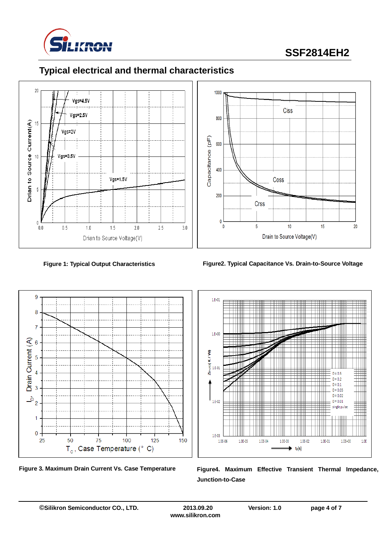

# **SSF2814EH2**







**Figure 1: Typical Output Characteristics Figure2. Typical Capacitance Vs. Drain-to-Source Voltage**







Figure 3. Maximum Drain Current Vs. Case Temperature Figure4. Maximum Effective Transient Thermal Impedance, **Junction-to-Case**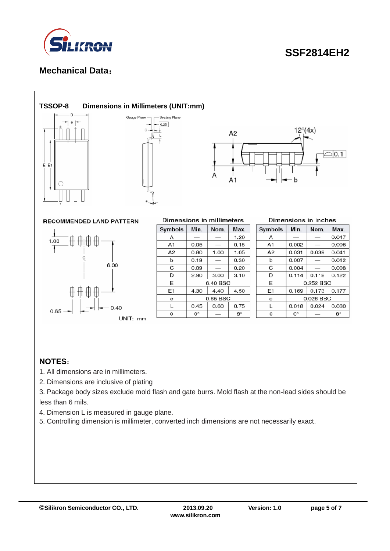

#### **Mechanical Data**:



#### **TSSOP-8 Dimensions in Millimeters (UNIT:mm)**





**RECOMMENDED LAND PATTERN** 



| Dimensions in millimeters |           |          |           |  |  |
|---------------------------|-----------|----------|-----------|--|--|
| Symbols                   | Min.      | Nom.     | Max.      |  |  |
| А                         |           |          | 1.20      |  |  |
| A <sub>1</sub>            | 0.05      |          | 0.15      |  |  |
| A2                        | 0.80      | 1.00     | 1.05      |  |  |
| ь                         | 0.19      |          | 0.30      |  |  |
| C                         | 0.09      |          | 0.20      |  |  |
| D                         | 2.90      | 3.00     | 3.10      |  |  |
| E                         |           | 6.40 BSC |           |  |  |
| E1                        | 4.30      | 4.40     | 4.50      |  |  |
| е                         | 0.65 BSC  |          |           |  |  |
| L                         | 0.45      | 0.60     | 0.75      |  |  |
| θ                         | $0^\circ$ |          | $8^\circ$ |  |  |

| Dimensions in inches |  |  |
|----------------------|--|--|

| Symbols | Min.        | Nom.  | Max.        |  |  |
|---------|-------------|-------|-------------|--|--|
| А       |             |       | 0.047       |  |  |
| A1      | 0.002       |       | 0.006       |  |  |
| A2      | 0.031       | 0.039 | 0.041       |  |  |
| b       | 0.007       | _     | 0.012       |  |  |
| C       | 0.004       |       | 0.008       |  |  |
| D       | 0.114       | 0.118 | 0.122       |  |  |
| E       | 0.252 BSC   |       |             |  |  |
| E1      | 0.169       | 0.173 | 0.177       |  |  |
| θ       | 0.026 BSC   |       |             |  |  |
| L       | 0.018       | 0.024 | 0.030       |  |  |
| A       | $0^{\circ}$ |       | $8^{\circ}$ |  |  |

#### **NOTES**:

- 1. All dimensions are in millimeters.
- 2. Dimensions are inclusive of plating
- 3. Package body sizes exclude mold flash and gate burrs. Mold flash at the non-lead sides should be less than 6 mils.
- 4. Dimension L is measured in gauge plane.
- 5. Controlling dimension is millimeter, converted inch dimensions are not necessarily exact.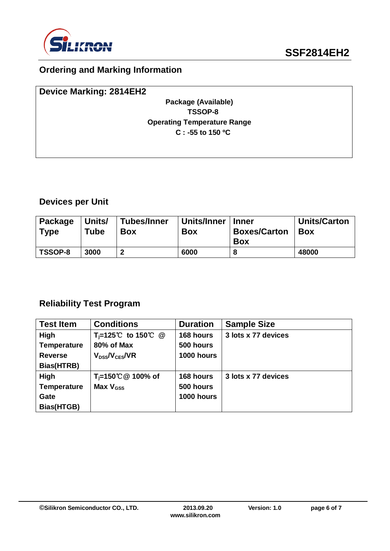

## **Ordering and Marking Information**

| <b>Device Marking: 2814EH2</b>     |
|------------------------------------|
| Package (Available)                |
| TSSOP-8                            |
| <b>Operating Temperature Range</b> |
| $C: -55$ to 150 °C                 |
|                                    |
|                                    |

## **Devices per Unit**

| Package<br><b>Type</b> | Units/<br><b>Tube</b> | Tubes/Inner<br><b>Box</b> | Units/Inner<br><b>Box</b> | <b>Inner</b><br><b>Boxes/Carton</b><br><b>Box</b> | <b>Units/Carton</b><br><b>Box</b> |
|------------------------|-----------------------|---------------------------|---------------------------|---------------------------------------------------|-----------------------------------|
| TSSOP-8                | 3000                  | ּמ                        | 6000                      |                                                   | 48000                             |

## **Reliability Test Program**

| <b>Test Item</b>   | <b>Conditions</b>              | <b>Duration</b> | <b>Sample Size</b>  |
|--------------------|--------------------------------|-----------------|---------------------|
| High               | T <sub>i</sub> =125℃ to 150℃ @ | 168 hours       | 3 lots x 77 devices |
| <b>Temperature</b> | 80% of Max                     | 500 hours       |                     |
| <b>Reverse</b>     | $V_{DSS}/V_{CES}/VR$           | 1000 hours      |                     |
| Bias(HTRB)         |                                |                 |                     |
| High               | T <sub>i</sub> =150℃ @ 100% of | 168 hours       | 3 lots x 77 devices |
| <b>Temperature</b> | Max $V_{\text{GSS}}$           | 500 hours       |                     |
| Gate               |                                | 1000 hours      |                     |
| Bias(HTGB)         |                                |                 |                     |